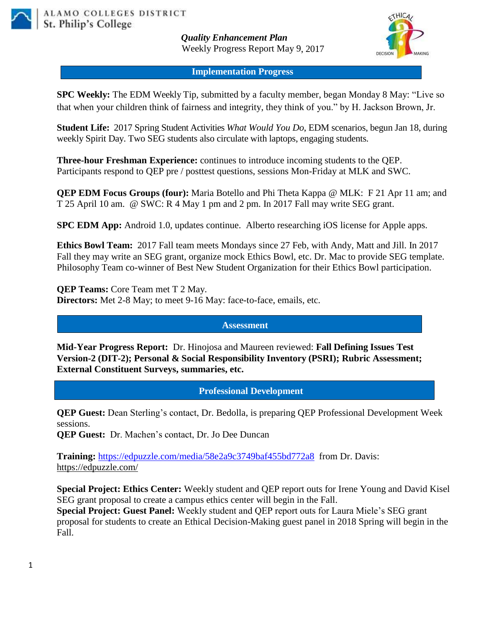

*Quality Enhancement Plan* Weekly Progress Report May 9, 2017



**Implementation Progress**

**SPC Weekly:** The EDM Weekly Tip, submitted by a faculty member, began Monday 8 May: "Live so that when your children think of fairness and integrity, they think of you." by H. Jackson Brown, Jr.

**Student Life:** 2017 Spring Student Activities *What Would You Do*, EDM scenarios, begun Jan 18, during weekly Spirit Day. Two SEG students also circulate with laptops, engaging students.

**Three-hour Freshman Experience:** continues to introduce incoming students to the QEP. Participants respond to QEP pre / posttest questions, sessions Mon-Friday at MLK and SWC.

**QEP EDM Focus Groups (four):** Maria Botello and Phi Theta Kappa @ MLK: F 21 Apr 11 am; and T 25 April 10 am. @ SWC: R 4 May 1 pm and 2 pm. In 2017 Fall may write SEG grant.

**SPC EDM App:** Android 1.0, updates continue. Alberto researching iOS license for Apple apps.

**Ethics Bowl Team:** 2017 Fall team meets Mondays since 27 Feb, with Andy, Matt and Jill. In 2017 Fall they may write an SEG grant, organize mock Ethics Bowl, etc. Dr. Mac to provide SEG template. Philosophy Team co-winner of Best New Student Organization for their Ethics Bowl participation.

**QEP Teams:** Core Team met T 2 May. **Directors:** Met 2-8 May; to meet 9-16 May: face-to-face, emails, etc.

## **Assessment**

**Mid-Year Progress Report:** Dr. Hinojosa and Maureen reviewed: **Fall Defining Issues Test Version-2 (DIT-2); Personal & Social Responsibility Inventory (PSRI); Rubric Assessment; External Constituent Surveys, summaries, etc.**

**Professional Development**

**QEP Guest:** Dean Sterling's contact, Dr. Bedolla, is preparing QEP Professional Development Week sessions.

**QEP Guest:** Dr. Machen's contact, Dr. Jo Dee Duncan

**Training:** <https://edpuzzle.com/media/58e2a9c3749baf455bd772a8> from Dr. Davis: <https://edpuzzle.com/>

**Special Project: Ethics Center:** Weekly student and QEP report outs for Irene Young and David Kisel SEG grant proposal to create a campus ethics center will begin in the Fall.

**Special Project: Guest Panel:** Weekly student and QEP report outs for Laura Miele's SEG grant proposal for students to create an Ethical Decision-Making guest panel in 2018 Spring will begin in the Fall.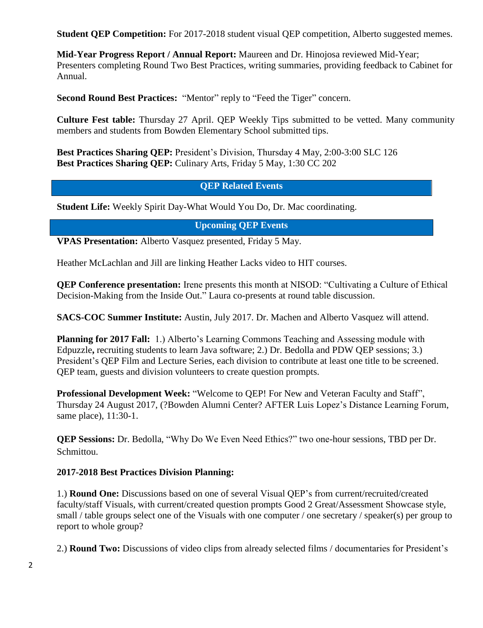**Student OEP Competition:** For 2017-2018 student visual OEP competition, Alberto suggested memes.

**Mid-Year Progress Report / Annual Report:** Maureen and Dr. Hinojosa reviewed Mid-Year; Presenters completing Round Two Best Practices, writing summaries, providing feedback to Cabinet for Annual.

**Second Round Best Practices:** "Mentor" reply to "Feed the Tiger" concern.

**Culture Fest table:** Thursday 27 April. QEP Weekly Tips submitted to be vetted. Many community members and students from Bowden Elementary School submitted tips.

**Best Practices Sharing QEP:** President's Division, Thursday 4 May, 2:00-3:00 SLC 126 **Best Practices Sharing QEP:** Culinary Arts, Friday 5 May, 1:30 CC 202

**QEP Related Events**

**Student Life:** Weekly Spirit Day-What Would You Do, Dr. Mac coordinating.

**Upcoming QEP Events**

**VPAS Presentation:** Alberto Vasquez presented, Friday 5 May.

Heather McLachlan and Jill are linking Heather Lacks video to HIT courses.

**QEP Conference presentation:** Irene presents this month at NISOD: "Cultivating a Culture of Ethical Decision-Making from the Inside Out." Laura co-presents at round table discussion.

**SACS-COC Summer Institute:** Austin, July 2017. Dr. Machen and Alberto Vasquez will attend.

**Planning for 2017 Fall:** 1.) Alberto's Learning Commons Teaching and Assessing module with Edpuzzle**,** recruiting students to learn Java software; 2.) Dr. Bedolla and PDW QEP sessions; 3.) President's QEP Film and Lecture Series, each division to contribute at least one title to be screened. QEP team, guests and division volunteers to create question prompts.

**Professional Development Week:** "Welcome to QEP! For New and Veteran Faculty and Staff", Thursday 24 August 2017, (?Bowden Alumni Center? AFTER Luis Lopez's Distance Learning Forum, same place), 11:30-1.

**QEP Sessions:** Dr. Bedolla, "Why Do We Even Need Ethics?" two one-hour sessions, TBD per Dr. Schmittou.

## **2017-2018 Best Practices Division Planning:**

1.) **Round One:** Discussions based on one of several Visual QEP's from current/recruited/created faculty/staff Visuals, with current/created question prompts Good 2 Great/Assessment Showcase style, small / table groups select one of the Visuals with one computer / one secretary / speaker(s) per group to report to whole group?

2.) **Round Two:** Discussions of video clips from already selected films / documentaries for President's